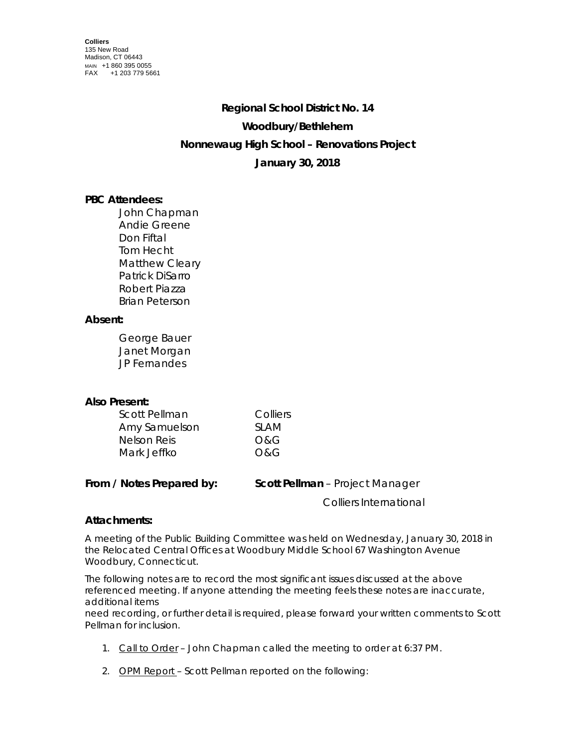# **Regional School District No. 14 Woodbury/Bethlehem Nonnewaug High School – Renovations Project January 30, 2018**

## **PBC Attendees:**

John Chapman Andie Greene Don Fiftal Tom Hecht Matthew Cleary Patrick DiSarro Robert Piazza Brian Peterson

### **Absent:**

George Bauer Janet Morgan JP Fernandes

### **Also Present:**

| <b>Scott Pellman</b> | Colliers |
|----------------------|----------|
| Amy Samuelson        | SI AM    |
| Nelson Reis          | O&G      |
| Mark Jeffko          | O&G      |

**From / Notes Prepared by: Scott Pellman** – Project Manager Colliers International

### **Attachments:**

A meeting of the Public Building Committee was held on Wednesday, January 30, 2018 in the Relocated Central Offices at Woodbury Middle School 67 Washington Avenue Woodbury, Connecticut.

The following notes are to record the most significant issues discussed at the above referenced meeting. If anyone attending the meeting feels these notes are inaccurate, additional items

need recording, or further detail is required, please forward your written comments to Scott Pellman for inclusion.

- 1. Call to Order John Chapman called the meeting to order at 6:37 PM.
- 2. OPM Report Scott Pellman reported on the following: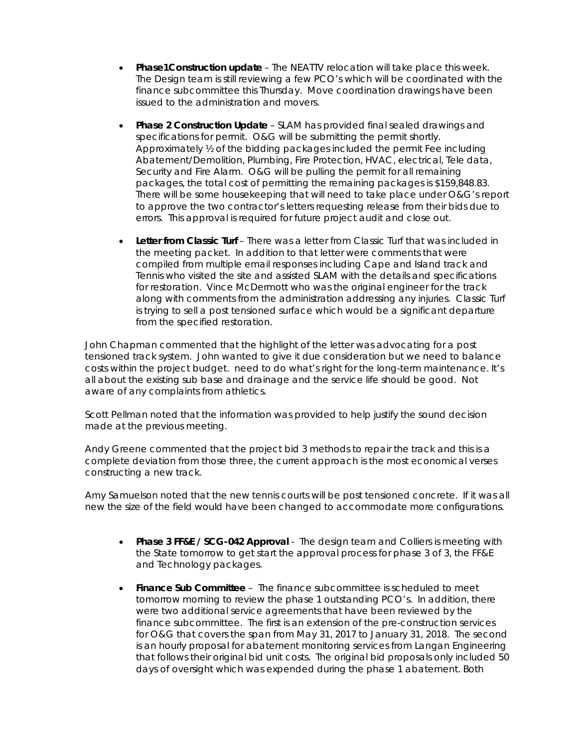- **Phase1Construction update** The NEATTV relocation will take place this week. The Design team is still reviewing a few PCO's which will be coordinated with the finance subcommittee this Thursday. Move coordination drawings have been issued to the administration and movers.
- **Phase 2 Construction Update** SLAM has provided final sealed drawings and specifications for permit. O&G will be submitting the permit shortly. Approximately ½ of the bidding packages included the permit Fee including Abatement/Demolition, Plumbing, Fire Protection, HVAC, electrical, Tele data, Security and Fire Alarm. O&G will be pulling the permit for all remaining packages, the total cost of permitting the remaining packages is \$159,848.83. There will be some housekeeping that will need to take place under O&G's report to approve the two contractor's letters requesting release from their bids due to errors. This approval is required for future project audit and close out.
- **Letter from Classic Turf** There was a letter from Classic Turf that was included in the meeting packet. In addition to that letter were comments that were compiled from multiple email responses including Cape and Island track and Tennis who visited the site and assisted SLAM with the details and specifications for restoration. Vince McDermott who was the original engineer for the track along with comments from the administration addressing any injuries. Classic Turf is trying to sell a post tensioned surface which would be a significant departure from the specified restoration.

John Chapman commented that the highlight of the letter was advocating for a post tensioned track system. John wanted to give it due consideration but we need to balance costs within the project budget. need to do what's right for the long-term maintenance. It's all about the existing sub base and drainage and the service life should be good. Not aware of any complaints from athletics.

Scott Pellman noted that the information was provided to help justify the sound decision made at the previous meeting.

Andy Greene commented that the project bid 3 methods to repair the track and this is a complete deviation from those three, the current approach is the most economical verses constructing a new track.

Amy Samuelson noted that the new tennis courts will be post tensioned concrete. If it was all new the size of the field would have been changed to accommodate more configurations.

- **Phase 3 FF&E / SCG-042 Approval** The design team and Colliers is meeting with the State tomorrow to get start the approval process for phase 3 of 3, the FF&E and Technology packages.
- **Finance Sub Committee**  The finance subcommittee is scheduled to meet tomorrow morning to review the phase 1 outstanding PCO's. In addition, there were two additional service agreements that have been reviewed by the finance subcommittee. The first is an extension of the pre-construction services for O&G that covers the span from May 31, 2017 to January 31, 2018. The second is an hourly proposal for abatement monitoring services from Langan Engineering that follows their original bid unit costs. The original bid proposals only included 50 days of oversight which was expended during the phase 1 abatement. Both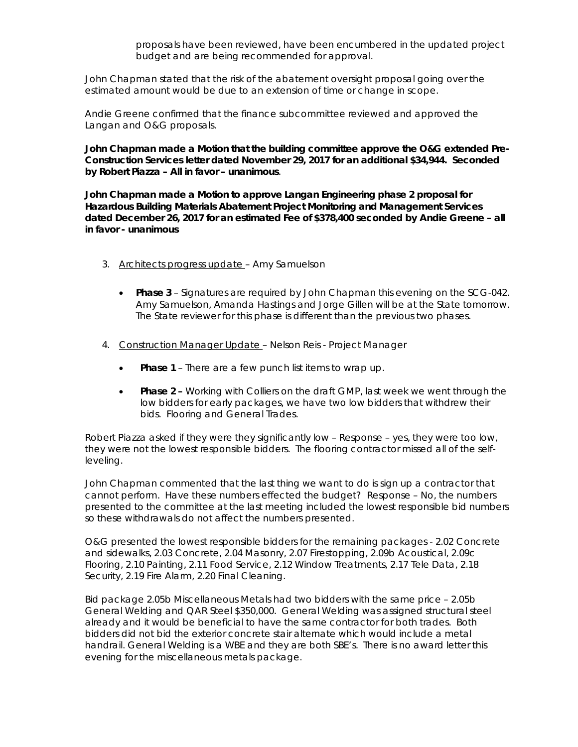proposals have been reviewed, have been encumbered in the updated project budget and are being recommended for approval.

John Chapman stated that the risk of the abatement oversight proposal going over the estimated amount would be due to an extension of time or change in scope.

Andie Greene confirmed that the finance subcommittee reviewed and approved the Langan and O&G proposals.

**John Chapman made a Motion that the building committee approve the O&G extended Pre-Construction Services letter dated November 29, 2017 for an additional \$34,944. Seconded by Robert Piazza – All in favor – unanimous**.

**John Chapman made a Motion to approve Langan Engineering phase 2 proposal for Hazardous Building Materials Abatement Project Monitoring and Management Services dated December 26, 2017 for an estimated Fee of \$378,400 seconded by Andie Greene – all in favor - unanimous**

- 3. Architects progress update Amy Samuelson
	- **Phase 3**  Signatures are required by John Chapman this evening on the SCG-042. Amy Samuelson, Amanda Hastings and Jorge Gillen will be at the State tomorrow. The State reviewer for this phase is different than the previous two phases.
- 4. Construction Manager Update Nelson Reis Project Manager
	- **Phase 1**  There are a few punch list items to wrap up.
	- **Phase 2 –** Working with Colliers on the draft GMP, last week we went through the low bidders for early packages, we have two low bidders that withdrew their bids. Flooring and General Trades.

Robert Piazza asked if they were they significantly low – Response – yes, they were too low, they were not the lowest responsible bidders. The flooring contractor missed all of the selfleveling.

John Chapman commented that the last thing we want to do is sign up a contractor that cannot perform. Have these numbers effected the budget? Response – No, the numbers presented to the committee at the last meeting included the lowest responsible bid numbers so these withdrawals do not affect the numbers presented.

O&G presented the lowest responsible bidders for the remaining packages - 2.02 Concrete and sidewalks, 2.03 Concrete, 2.04 Masonry, 2.07 Firestopping, 2.09b Acoustical, 2.09c Flooring, 2.10 Painting, 2.11 Food Service, 2.12 Window Treatments, 2.17 Tele Data, 2.18 Security, 2.19 Fire Alarm, 2.20 Final Cleaning.

Bid package 2.05b Miscellaneous Metals had two bidders with the same price – 2.05b General Welding and QAR Steel \$350,000. General Welding was assigned structural steel already and it would be beneficial to have the same contractor for both trades. Both bidders did not bid the exterior concrete stair alternate which would include a metal handrail. General Welding is a WBE and they are both SBE's. There is no award letter this evening for the miscellaneous metals package.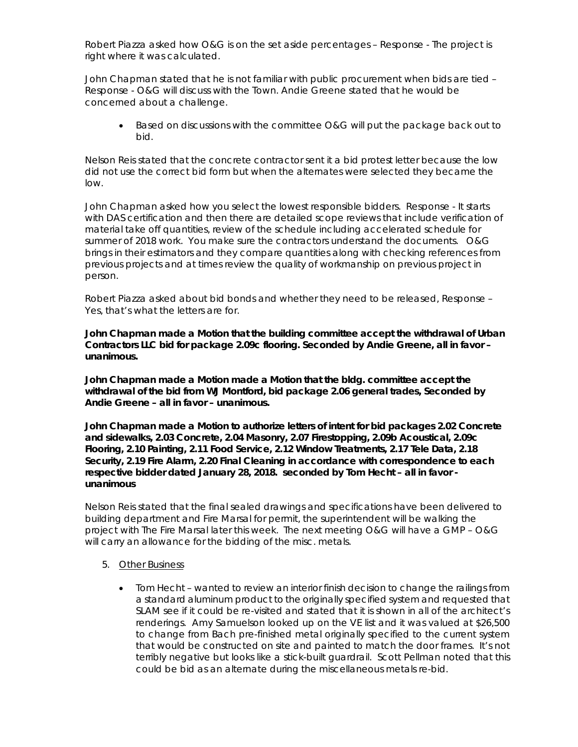Robert Piazza asked how O&G is on the set aside percentages – Response - The project is right where it was calculated.

John Chapman stated that he is not familiar with public procurement when bids are tied – Response - O&G will discuss with the Town. Andie Greene stated that he would be concerned about a challenge.

• Based on discussions with the committee O&G will put the package back out to bid.

Nelson Reis stated that the concrete contractor sent it a bid protest letter because the low did not use the correct bid form but when the alternates were selected they became the low.

John Chapman asked how you select the lowest responsible bidders. Response - It starts with DAS certification and then there are detailed scope reviews that include verification of material take off quantities, review of the schedule including accelerated schedule for summer of 2018 work. You make sure the contractors understand the documents. O&G brings in their estimators and they compare quantities along with checking references from previous projects and at times review the quality of workmanship on previous project in person.

Robert Piazza asked about bid bonds and whether they need to be released, Response – Yes, that's what the letters are for.

**John Chapman made a Motion that the building committee accept the withdrawal of Urban Contractors LLC bid for package 2.09c flooring. Seconded by Andie Greene, all in favor – unanimous.**

**John Chapman made a Motion made a Motion that the bldg. committee accept the withdrawal of the bid from WJ Montford, bid package 2.06 general trades, Seconded by Andie Greene – all in favor – unanimous.**

**John Chapman made a Motion to authorize letters of intent for bid packages 2.02 Concrete and sidewalks, 2.03 Concrete, 2.04 Masonry, 2.07 Firestopping, 2.09b Acoustical, 2.09c Flooring, 2.10 Painting, 2.11 Food Service, 2.12 Window Treatments, 2.17 Tele Data, 2.18 Security, 2.19 Fire Alarm, 2.20 Final Cleaning in accordance with correspondence to each respective bidder dated January 28, 2018. seconded by Tom Hecht – all in favor unanimous**

Nelson Reis stated that the final sealed drawings and specifications have been delivered to building department and Fire Marsal for permit, the superintendent will be walking the project with The Fire Marsal later this week. The next meeting O&G will have a GMP – O&G will carry an allowance for the bidding of the misc. metals.

- 5. Other Business
	- Tom Hecht wanted to review an interior finish decision to change the railings from a standard aluminum product to the originally specified system and requested that SLAM see if it could be re-visited and stated that it is shown in all of the architect's renderings. Amy Samuelson looked up on the VE list and it was valued at \$26,500 to change from Bach pre-finished metal originally specified to the current system that would be constructed on site and painted to match the door frames. It's not terribly negative but looks like a stick-built guardrail. Scott Pellman noted that this could be bid as an alternate during the miscellaneous metals re-bid.